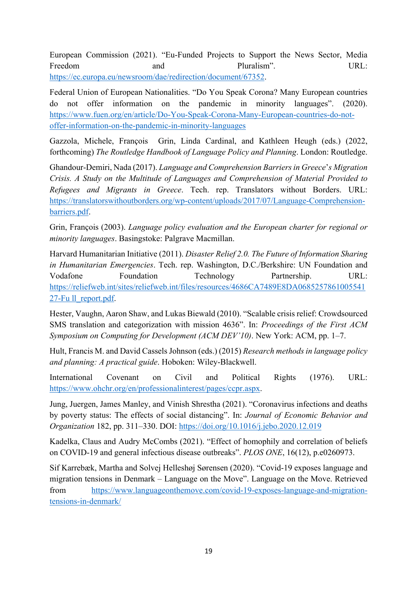European Commission (2021). "Eu-Funded Projects to Support the News Sector, Media Freedom and Pluralism". URL: <https://ec.europa.eu/newsroom/dae/redirection/document/67352>.

 do not offer information on the pandemic in minority languages". (2020). offer-information-on-the-pandemic-in-minority-languages Federal Union of European Nationalities. "Do You Speak Corona? Many European countries <https://www.fuen.org/en/article/Do-You-Speak-Corona-Many-European-countries-do-not>-

Gazzola, Michele, François  forthcoming) *The Routledge Handbook of Language Policy and Planning*. London: Routledge. Grin, Linda Cardinal, and Kathleen Heugh (eds.) (2022,

 Ghandour-Demiri, Nada (2017). *Language and Comprehension Barriers in Greece*'*s Migration Crisis. A Study on the Multitude of Languages and Comprehension of Material Provided to Refugees and Migrants in Greece*. Tech. rep. Translators without Borders. URL: <https://translatorswithoutborders.org/wp-content/uploads/2017/07/Language-Comprehension>barriers.pdf.

 Grin, François (2003). *Language policy evaluation and the European charter for regional or minority languages*. Basingstoke: Palgrave Macmillan.

 Harvard Humanitarian Initiative (2011). *Disaster Relief 2.0. The Future of Information Sharing in Humanitarian Emergencies*. Tech. rep. Washington, D.C./Berkshire: UN Foundation and Vodafone Foundation Technology Partnership. URL: <https://reliefweb.int/sites/reliefweb.int/files/resources/4686CA7489E8DA0685257861005541> 27-Fu ll\_report.pdf.

 Hester, Vaughn, Aaron Shaw, and Lukas Biewald (2010). "Scalable crisis relief: Crowdsourced SMS translation and categorization with mission 4636". In: *Proceedings of the First ACM Symposium on Computing for Development (ACM DEV'10)*. New York: ACM, pp. 1–7.

 Hult, Francis M. and David Cassels Johnson (eds.) (2015) *Research methods in language policy and planning: A practical guide*. Hoboken: Wiley-Blackwell.

Political International Covenant on Civil and Political Rights (1976). URL: https://www.ohchr.org/en/professionalinterest/pages/ccpr.aspx.

 Jung, Juergen, James Manley, and Vinish Shrestha (2021). "Coronavirus infections and deaths by poverty status: The effects of social distancing". In: *Journal of Economic Behavior and Organization* 182, pp. 311–330. DOI: https://doi.org/10.1016/j.jebo.2020.12.019

Kadelka, Claus and Audry McCombs (2021). "Effect of homophily and correlation of beliefs on COVID-19 and general infectious disease outbreaks". *PLOS ONE*, 16(12), p.e0260973.

 Sif Karrebæk, Martha and Solvej Helleshøj Sørensen (2020). "Covid-19 exposes language and migration tensions in Denmark – Language on the Move". Language on the Move. Retrieved tensions-in-denmark/ from https://www.languageonthemove.com/covid-19-exposes-language-and-migration-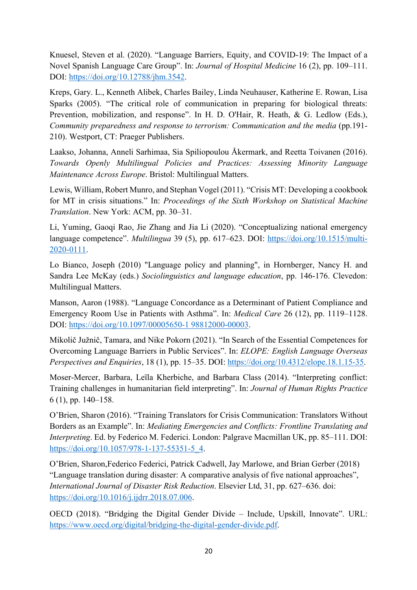Knuesel, Steven et al. (2020). "Language Barriers, Equity, and COVID-19: The Impact of a Novel Spanish Language Care Group". In: *Journal of Hospital Medicine* 16 (2), pp. 109–111. DOI: [https://doi.org/10.12788/jhm.3542.](https://doi.org/10.12788/jhm.3542)

 Kreps, Gary. L., Kenneth Alibek, Charles Bailey, Linda Neuhauser, Katherine E. Rowan, Lisa Sparks (2005). "The critical role of communication in preparing for biological threats: Prevention, mobilization, and response". In H. D. O'Hair, R. Heath, & G. Ledlow (Eds.), *Community preparedness and response to terrorism: Communication and the media (pp.191-*210). Westport, CT: Praeger Publishers.

 *Towards Openly Multilingual Policies and Practices: Assessing Minority Language*  Laakso, Johanna, Anneli Sarhimaa, Sia Spiliopoulou Åkermark, and Reetta Toivanen (2016). *Maintenance Across Europe*. Bristol: Multilingual Matters.

 Lewis, William, Robert Munro, and Stephan Vogel (2011). "Crisis MT: Developing a cookbook for MT in crisis situations." In: *Proceedings of the Sixth Workshop on Statistical Machine Translation*. New York: ACM, pp. 30–31.

 Li, Yuming, Gaoqi Rao, Jie Zhang and Jia Li (2020). "Conceptualizing national emergency language competence". *Multilingua* 39 (5), pp. 617–623. DOI: <https://doi.org/10.1515/multi>-2020-0111.

 Sandra Lee McKay (eds.) *Sociolinguistics and language education*, pp. 146-176. Clevedon: Lo Bianco, Joseph (2010) "Language policy and planning", in Hornberger, Nancy H. and Multilingual Matters.

 Manson, Aaron (1988). "Language Concordance as a Determinant of Patient Compliance and Emergency Room Use in Patients with Asthma". In: *Medical Care* 26 (12), pp. 1119–1128. DOI: <https://doi.org/10.1097/00005650-1>98812000-00003.

 Mikolič Južnič, Tamara, and Nike Pokorn (2021). "In Search of the Essential Competences for Overcoming Language Barriers in Public Services". In: *ELOPE: English Language Overseas Perspectives and Enquiries*, 18 (1), pp. 15–35. DOI: <https://doi.org/10.4312/elope.18.1.15-35>.

 Moser-Mercer, Barbara, Leïla Kherbiche, and Barbara Class (2014). "Interpreting conflict:  Training challenges in humanitarian field interpreting". In: *Journal of Human Rights Practice*  6 (1), pp. 140–158.

 O'Brien, Sharon (2016). "Training Translators for Crisis Communication: Translators Without Borders as an Example". In: *Mediating Emergencies and Conflicts: Frontline Translating and Interpreting*. Ed. by Federico M. Federici. London: Palgrave Macmillan UK, pp. 85–111. DOI: [https://doi.org/10.1057/978-1-137-55351-5\\_4](https://doi.org/10.1057/978-1-137-55351-5_4).

 O'Brien, Sharon,Federico Federici, Patrick Cadwell, Jay Marlowe, and Brian Gerber (2018) "Language translation during disaster: A comparative analysis of five national approaches", *International Journal of Disaster Risk Reduction*. Elsevier Ltd, 31, pp. 627–636. doi: <https://doi.org/10.1016/j.ijdrr.2018.07.006>.

 OECD (2018). "Bridging the Digital Gender Divide – Include, Upskill, Innovate". URL: [https://www.oecd.org/digital/bridging-the-digital-gender-divide.pdf.](https://www.oecd.org/digital/bridging-the-digital-gender-divide.pdf)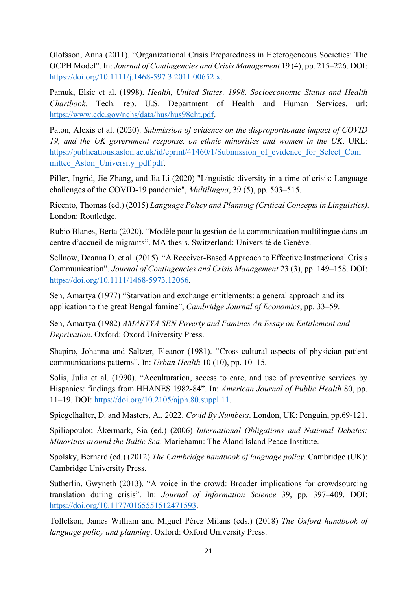Olofsson, Anna (2011). "Organizational Crisis Preparedness in Heterogeneous Societies: The OCPH Model". In: *Journal of Contingencies and Crisis Management* 19 (4), pp. 215–226. DOI: <https://doi.org/10.1111/j.1468-597>3.2011.00652.x.

 Pamuk, Elsie et al. (1998). *Health, United States, 1998. Socioeconomic Status and Health Chartbook*. Tech. rep. U.S. Department of Health and Human Services. url: <https://www.cdc.gov/nchs/data/hus/hus98cht.pdf>.

 Paton, Alexis et al. (2020). *Submission of evidence on the disproportionate impact of COVID 19, and the UK government response, on ethnic minorities and women in the UK*. URL: https://publications.aston.ac.uk/id/eprint/41460/1/Submission of evidence for Select Com mittee Aston University pdf.pdf.

 Piller, Ingrid, Jie Zhang, and Jia Li (2020) "Linguistic diversity in a time of crisis: Language challenges of the COVID-19 pandemic", *Multilingua*, 39 (5), pp. 503–515.

 Ricento, Thomas (ed.) (2015) *Language Policy and Planning (Critical Concepts in Linguistics).*  London: Routledge.

 Rubio Blanes, Berta (2020). "Modèle pour la gestion de la communication multilingue dans un centre d'accueil de migrants". MA thesis. Switzerland: Université de Genève.

 Sellnow, Deanna D. et al. (2015). "A Receiver-Based Approach to Effective Instructional Crisis  Communication". *Journal of Contingencies and Crisis Management* 23 (3), pp. 149–158. DOI: <https://doi.org/10.1111/1468-5973.12066>.

Sen, Amartya (1977) "Starvation and exchange entitlements: a general approach and its application to the great Bengal famine", *Cambridge Journal of Economics*, pp. 33–59.

Sen, Amartya (1982) *AMARTYA SEN Poverty and Famines An Essay on Entitlement and Deprivation*. Oxford: Oxord University Press.

 Shapiro, Johanna and Saltzer, Eleanor (1981). "Cross-cultural aspects of physician-patient communications patterns". In: *Urban Health* 10 (10), pp. 10–15.

 Solis, Julia et al. (1990). "Acculturation, access to care, and use of preventive services by Hispanics: findings from HHANES 1982-84". In: *American Journal of Public Health* 80, pp. 11–19. DOI: <https://doi.org/10.2105/ajph.80.suppl.11>.

Spiegelhalter, D. and Masters, A., 2022. *Covid By Numbers*. London, UK: Penguin, pp.69-121.

 Spiliopoulou Åkermark, Sia (ed.) (2006) *International Obligations and National Debates: Minorities around the Baltic Sea*. Mariehamn: The Åland Island Peace Institute.

 Spolsky, Bernard (ed.) (2012) *The Cambridge handbook of language policy*. Cambridge (UK): Cambridge University Press.

 Sutherlin, Gwyneth (2013). "A voice in the crowd: Broader implications for crowdsourcing  translation during crisis". In: *Journal of Information Science* 39, pp. 397–409. DOI: <https://doi.org/10.1177/0165551512471593>.

 Tollefson, James William and Miguel Pérez Milans (eds.) (2018) *The Oxford handbook of language policy and planning*. Oxford: Oxford University Press.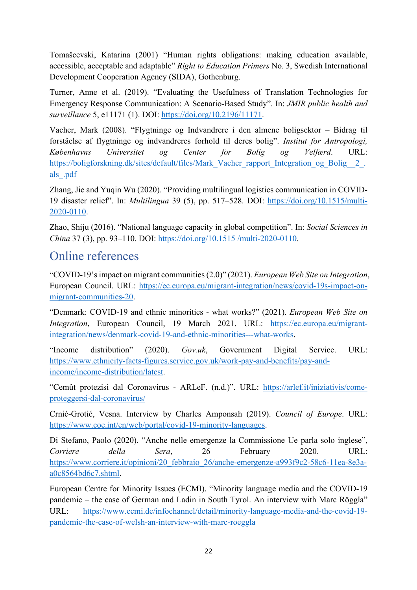accessible, acceptable and adaptable" *Right to Education Primers* No. 3, Swedish International Tomašcevski, Katarina (2001) "Human rights obligations: making education available, Development Cooperation Agency (SIDA), Gothenburg.

 Turner, Anne et al. (2019). "Evaluating the Usefulness of Translation Technologies for Emergency Response Communication: A Scenario-Based Study". In: *JMIR public health and surveillance* 5, e11171 (1). DOI: [https://doi.org/10.2196/11171.](https://doi.org/10.2196/11171)

 Vacher, Mark (2008). "Flygtninge og Indvandrere i den almene boligsektor – Bidrag til forståelse af flygtninge og indvandreres forhold til deres bolig". *Institut for Antropologi, Københavns Universitet og Center for Bolig og Velfærd*. URL: https://boligforskning.dk/sites/default/files/Mark\_Vacher\_rapport\_Integration\_og\_Bolig\_2\_. als\_.pdf

 Zhang, Jie and Yuqin Wu (2020). "Providing multilingual logistics communication in COVID-19 disaster relief". In: *Multilingua* 39 (5), pp. 517–528. DOI: <https://doi.org/10.1515/multi>-2020-0110.

 Zhao, Shiju (2016). "National language capacity in global competition". In: *Social Sciences in China* 37 (3), pp. 93–110. DOI: <https://doi.org/10.1515>/multi-2020-0110.

## Online references

 "COVID-19's impact on migrant communities (2.0)" (2021). *European Web Site on Integration*, European Council. URL: <https://ec.europa.eu/migrant-integration/news/covid-19s-impact-on>migrant-communities-20.

 "Denmark: COVID-19 and ethnic minorities - what works?" (2021). *European Web Site on Integration*, European Council, 19 March 2021. URL: <https://ec.europa.eu/migrant>integration/news/denmark-covid-19-and-ethnic-minorities---what-works.

 "Income distribution" (2020). *Gov.uk*, Government Digital Service. URL: <https://www.ethnicity-facts-figures.service.gov.uk/work-pay-and-benefits/pay-and>income/income-distribution/latest.

 "Cemût protezisi dal Coronavirus - ARLeF. (n.d.)". URL: <https://arlef.it/iniziativis/come>proteggersi-dal-coronavirus/

 proteggersi-dal-coronavirus/ Crnić-Grotić, Vesna. Interview by Charles Amponsah (2019). *Council of Europe*. URL: <https://www.coe.int/en/web/portal/covid-19-minority-languages>.

 Di Stefano, Paolo (2020). "Anche nelle emergenze la Commissione Ue parla solo inglese", *Corriere della Sera*, 26 February 2020. URL: https://www.corriere.it/opinioni/20 febbraio 26/anche-emergenze-a993f9c2-58c6-11ea-8e3aa0c8564bd6c7.shtml.

 European Centre for Minority Issues (ECMI). "Minority language media and the COVID-19 pandemic – the case of German and Ladin in South Tyrol. An interview with Marc Röggla" pandemic-the-case-of-welsh-an-interview-with-marc-roeggla URL: <https://www.ecmi.de/infochannel/detail/minority-language-media-and-the-covid-19>-